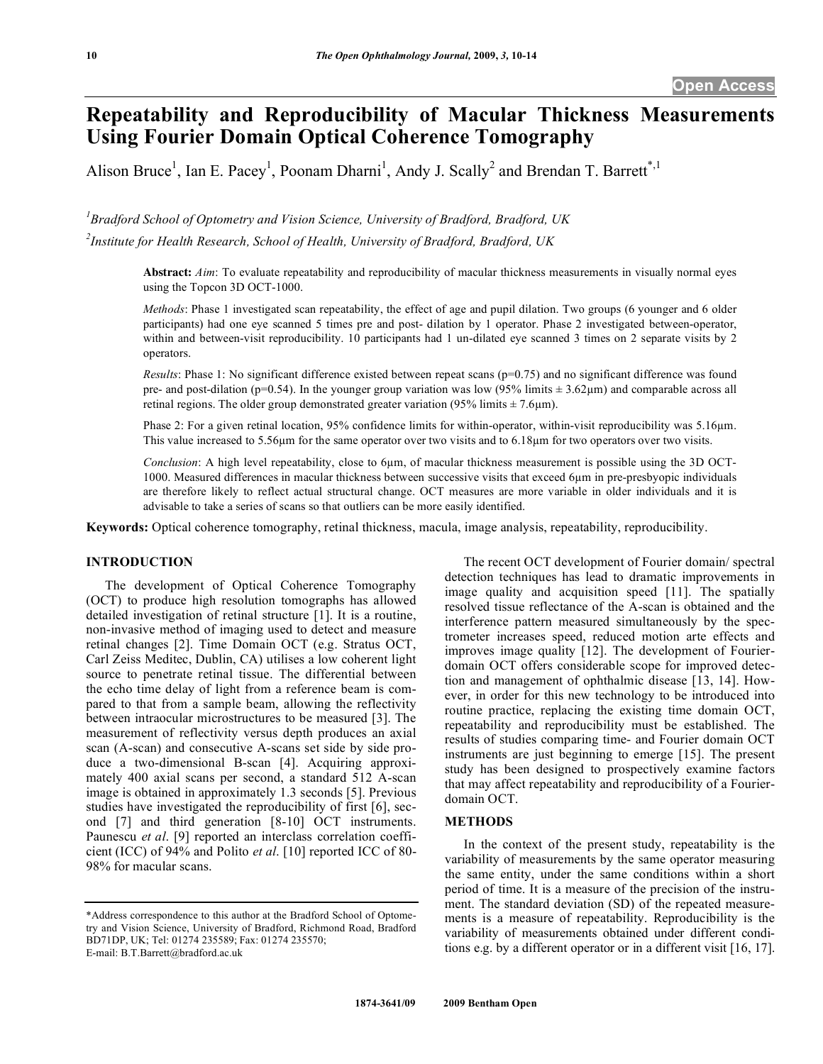# **Repeatability and Reproducibility of Macular Thickness Measurements Using Fourier Domain Optical Coherence Tomography**

Alison Bruce<sup>1</sup>, Ian E. Pacey<sup>1</sup>, Poonam Dharni<sup>1</sup>, Andy J. Scally<sup>2</sup> and Brendan T. Barrett<sup>\*,1</sup>

*1 Bradford School of Optometry and Vision Science, University of Bradford, Bradford, UK* 

*2 Institute for Health Research, School of Health, University of Bradford, Bradford, UK* 

**Abstract:** *Aim*: To evaluate repeatability and reproducibility of macular thickness measurements in visually normal eyes using the Topcon 3D OCT-1000.

*Methods*: Phase 1 investigated scan repeatability, the effect of age and pupil dilation. Two groups (6 younger and 6 older participants) had one eye scanned 5 times pre and post- dilation by 1 operator. Phase 2 investigated between-operator, within and between-visit reproducibility. 10 participants had 1 un-dilated eye scanned 3 times on 2 separate visits by 2 operators.

*Results*: Phase 1: No significant difference existed between repeat scans (p=0.75) and no significant difference was found pre- and post-dilation (p=0.54). In the younger group variation was low (95% limits  $\pm$  3.62 $\mu$ m) and comparable across all retinal regions. The older group demonstrated greater variation (95% limits  $\pm$  7.6 µm).

Phase 2: For a given retinal location, 95% confidence limits for within-operator, within-visit reproducibility was 5.16m. This value increased to  $5.56\mu m$  for the same operator over two visits and to  $6.18\mu m$  for two operators over two visits.

*Conclusion*: A high level repeatability, close to 6µm, of macular thickness measurement is possible using the 3D OCT-1000. Measured differences in macular thickness between successive visits that exceed 6µm in pre-presbyopic individuals are therefore likely to reflect actual structural change. OCT measures are more variable in older individuals and it is advisable to take a series of scans so that outliers can be more easily identified.

**Keywords:** Optical coherence tomography, retinal thickness, macula, image analysis, repeatability, reproducibility.

## **INTRODUCTION**

 The development of Optical Coherence Tomography (OCT) to produce high resolution tomographs has allowed detailed investigation of retinal structure [1]. It is a routine, non-invasive method of imaging used to detect and measure retinal changes [2]. Time Domain OCT (e.g. Stratus OCT, Carl Zeiss Meditec, Dublin, CA) utilises a low coherent light source to penetrate retinal tissue. The differential between the echo time delay of light from a reference beam is compared to that from a sample beam, allowing the reflectivity between intraocular microstructures to be measured [3]. The measurement of reflectivity versus depth produces an axial scan (A-scan) and consecutive A-scans set side by side produce a two-dimensional B-scan [4]. Acquiring approximately 400 axial scans per second, a standard 512 A-scan image is obtained in approximately 1.3 seconds [5]. Previous studies have investigated the reproducibility of first [6], second [7] and third generation [8-10] OCT instruments. Paunescu *et al*. [9] reported an interclass correlation coefficient (ICC) of 94% and Polito *et al*. [10] reported ICC of 80- 98% for macular scans.

 The recent OCT development of Fourier domain/ spectral detection techniques has lead to dramatic improvements in image quality and acquisition speed [11]. The spatially resolved tissue reflectance of the A-scan is obtained and the interference pattern measured simultaneously by the spectrometer increases speed, reduced motion arte effects and improves image quality [12]. The development of Fourierdomain OCT offers considerable scope for improved detection and management of ophthalmic disease [13, 14]. However, in order for this new technology to be introduced into routine practice, replacing the existing time domain OCT, repeatability and reproducibility must be established. The results of studies comparing time- and Fourier domain OCT instruments are just beginning to emerge [15]. The present study has been designed to prospectively examine factors that may affect repeatability and reproducibility of a Fourierdomain OCT.

## **METHODS**

 In the context of the present study, repeatability is the variability of measurements by the same operator measuring the same entity, under the same conditions within a short period of time. It is a measure of the precision of the instrument. The standard deviation (SD) of the repeated measurements is a measure of repeatability. Reproducibility is the variability of measurements obtained under different conditions e.g. by a different operator or in a different visit [16, 17].

<sup>\*</sup>Address correspondence to this author at the Bradford School of Optometry and Vision Science, University of Bradford, Richmond Road, Bradford BD71DP, UK; Tel: 01274 235589; Fax: 01274 235570; E-mail: B.T.Barrett@bradford.ac.uk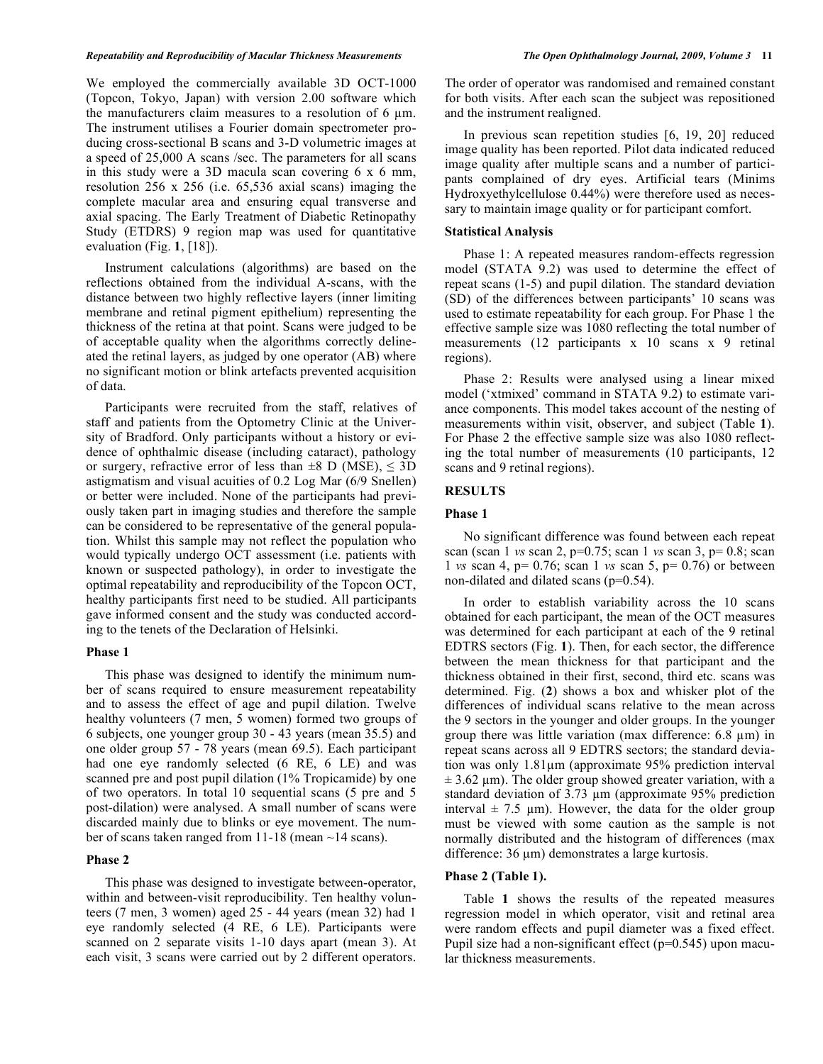#### *Repeatability and Reproducibility of Macular Thickness Measurements The Open Ophthalmology Journal, 2009, Volume 3* **11**

We employed the commercially available 3D OCT-1000 (Topcon, Tokyo, Japan) with version 2.00 software which the manufacturers claim measures to a resolution of  $6 \mu m$ . The instrument utilises a Fourier domain spectrometer producing cross-sectional B scans and 3-D volumetric images at a speed of 25,000 A scans /sec. The parameters for all scans in this study were a 3D macula scan covering 6 x 6 mm, resolution 256 x 256 (i.e. 65,536 axial scans) imaging the complete macular area and ensuring equal transverse and axial spacing. The Early Treatment of Diabetic Retinopathy Study (ETDRS) 9 region map was used for quantitative evaluation (Fig. **1**, [18]).

 Instrument calculations (algorithms) are based on the reflections obtained from the individual A-scans, with the distance between two highly reflective layers (inner limiting membrane and retinal pigment epithelium) representing the thickness of the retina at that point. Scans were judged to be of acceptable quality when the algorithms correctly delineated the retinal layers, as judged by one operator (AB) where no significant motion or blink artefacts prevented acquisition of data.

 Participants were recruited from the staff, relatives of staff and patients from the Optometry Clinic at the University of Bradford. Only participants without a history or evidence of ophthalmic disease (including cataract), pathology or surgery, refractive error of less than  $\pm 8$  D (MSE),  $\leq 3D$ astigmatism and visual acuities of 0.2 Log Mar (6/9 Snellen) or better were included. None of the participants had previously taken part in imaging studies and therefore the sample can be considered to be representative of the general population. Whilst this sample may not reflect the population who would typically undergo OCT assessment (i.e. patients with known or suspected pathology), in order to investigate the optimal repeatability and reproducibility of the Topcon OCT, healthy participants first need to be studied. All participants gave informed consent and the study was conducted according to the tenets of the Declaration of Helsinki.

### **Phase 1**

 This phase was designed to identify the minimum number of scans required to ensure measurement repeatability and to assess the effect of age and pupil dilation. Twelve healthy volunteers (7 men, 5 women) formed two groups of 6 subjects, one younger group 30 - 43 years (mean 35.5) and one older group 57 - 78 years (mean 69.5). Each participant had one eye randomly selected (6 RE, 6 LE) and was scanned pre and post pupil dilation (1% Tropicamide) by one of two operators. In total 10 sequential scans (5 pre and 5 post-dilation) were analysed. A small number of scans were discarded mainly due to blinks or eye movement. The number of scans taken ranged from 11-18 (mean ~14 scans).

## **Phase 2**

 This phase was designed to investigate between-operator, within and between-visit reproducibility. Ten healthy volunteers (7 men, 3 women) aged 25 - 44 years (mean 32) had 1 eye randomly selected (4 RE, 6 LE). Participants were scanned on 2 separate visits 1-10 days apart (mean 3). At each visit, 3 scans were carried out by 2 different operators.

The order of operator was randomised and remained constant for both visits. After each scan the subject was repositioned and the instrument realigned.

 In previous scan repetition studies [6, 19, 20] reduced image quality has been reported. Pilot data indicated reduced image quality after multiple scans and a number of participants complained of dry eyes. Artificial tears (Minims Hydroxyethylcellulose 0.44%) were therefore used as necessary to maintain image quality or for participant comfort.

## **Statistical Analysis**

 Phase 1: A repeated measures random-effects regression model (STATA 9.2) was used to determine the effect of repeat scans (1-5) and pupil dilation. The standard deviation (SD) of the differences between participants' 10 scans was used to estimate repeatability for each group. For Phase 1 the effective sample size was 1080 reflecting the total number of measurements (12 participants x 10 scans x 9 retinal regions).

 Phase 2: Results were analysed using a linear mixed model ('xtmixed' command in STATA 9.2) to estimate variance components. This model takes account of the nesting of measurements within visit, observer, and subject (Table **1**). For Phase 2 the effective sample size was also 1080 reflecting the total number of measurements (10 participants, 12 scans and 9 retinal regions).

#### **RESULTS**

#### **Phase 1**

 No significant difference was found between each repeat scan (scan 1 *vs* scan 2, p=0.75; scan 1 *vs* scan 3, p= 0.8; scan 1 *vs* scan 4, p= 0.76; scan 1 *vs* scan 5, p= 0.76) or between non-dilated and dilated scans (p=0.54).

 In order to establish variability across the 10 scans obtained for each participant, the mean of the OCT measures was determined for each participant at each of the 9 retinal EDTRS sectors (Fig. **1**). Then, for each sector, the difference between the mean thickness for that participant and the thickness obtained in their first, second, third etc. scans was determined. Fig. (**2**) shows a box and whisker plot of the differences of individual scans relative to the mean across the 9 sectors in the younger and older groups. In the younger group there was little variation (max difference:  $6.8 \mu m$ ) in repeat scans across all 9 EDTRS sectors; the standard deviation was only  $1.81 \mu m$  (approximate 95% prediction interval  $\pm$  3.62 µm). The older group showed greater variation, with a standard deviation of  $3.73 \mu m$  (approximate  $95\%$  prediction interval  $\pm$  7.5 µm). However, the data for the older group must be viewed with some caution as the sample is not normally distributed and the histogram of differences (max difference:  $36 \mu m$ ) demonstrates a large kurtosis.

## **Phase 2 (Table 1).**

 Table **1** shows the results of the repeated measures regression model in which operator, visit and retinal area were random effects and pupil diameter was a fixed effect. Pupil size had a non-significant effect (p=0.545) upon macular thickness measurements.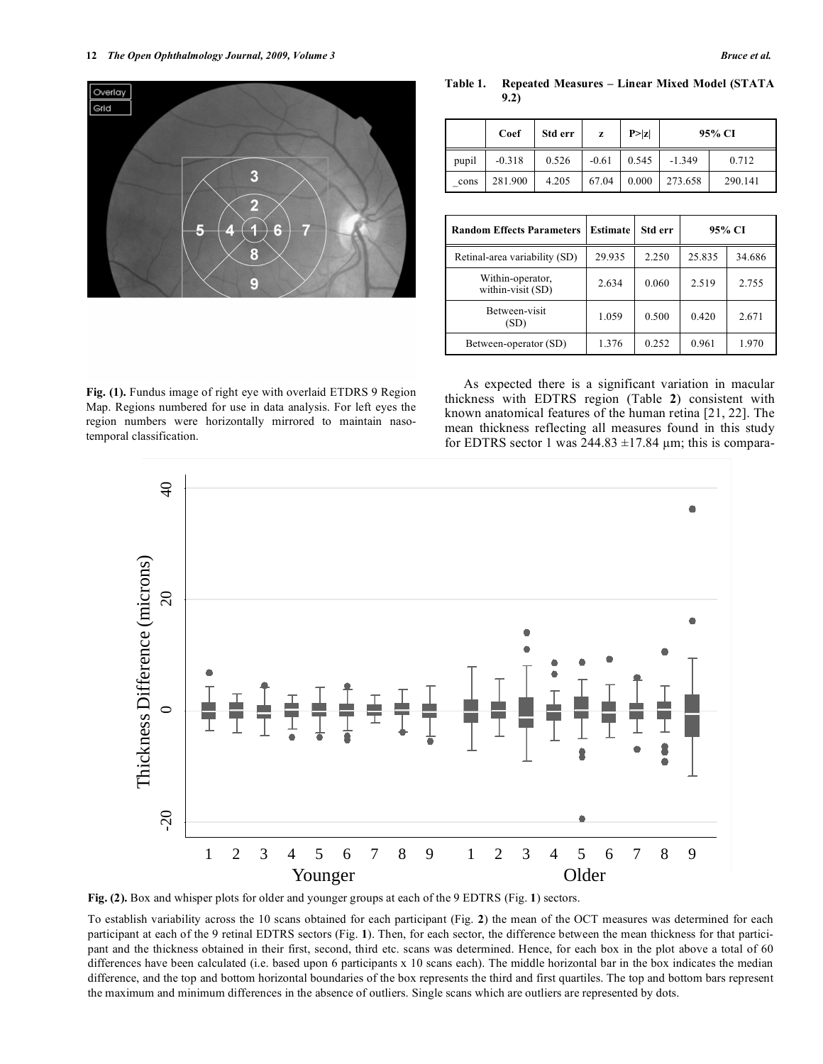**Table 1. Repeated Measures – Linear Mixed Model (STATA 9.2)** 

|       | Coef     | Std err | z       | P >  z | 95% CI   |         |
|-------|----------|---------|---------|--------|----------|---------|
| pupil | $-0.318$ | 0.526   | $-0.61$ | 0.545  | $-1.349$ | 0.712   |
| cons  | 281.900  | 4.205   | 67.04   | 0.000  | 273.658  | 290.141 |

| <b>Random Effects Parameters</b>      | <b>Estimate</b> | Std err | 95% CI |        |
|---------------------------------------|-----------------|---------|--------|--------|
| Retinal-area variability (SD)         | 29.935          | 2.250   | 25.835 | 34.686 |
| Within-operator,<br>within-visit (SD) | 2.634           | 0.060   | 2.519  | 2.755  |
| Between-visit<br>(SD)                 | 1.059           | 0.500   | 0.420  | 2.671  |
| Between-operator (SD)                 | 1.376           | 0.252   | 0.961  | 1.970  |

**Fig. (1).** Fundus image of right eye with overlaid ETDRS 9 Region Map. Regions numbered for use in data analysis. For left eyes the region numbers were horizontally mirrored to maintain nasotemporal classification.

 As expected there is a significant variation in macular thickness with EDTRS region (Table **2**) consistent with known anatomical features of the human retina [21, 22]. The mean thickness reflecting all measures found in this study for EDTRS sector 1 was  $244.83 \pm 17.84$  µm; this is compara-



**Fig. (2).** Box and whisper plots for older and younger groups at each of the 9 EDTRS (Fig. **1**) sectors.

To establish variability across the 10 scans obtained for each participant (Fig. **2**) the mean of the OCT measures was determined for each participant at each of the 9 retinal EDTRS sectors (Fig. **1**). Then, for each sector, the difference between the mean thickness for that participant and the thickness obtained in their first, second, third etc. scans was determined. Hence, for each box in the plot above a total of 60 differences have been calculated (i.e. based upon 6 participants x 10 scans each). The middle horizontal bar in the box indicates the median difference, and the top and bottom horizontal boundaries of the box represents the third and first quartiles. The top and bottom bars represent the maximum and minimum differences in the absence of outliers. Single scans which are outliers are represented by dots.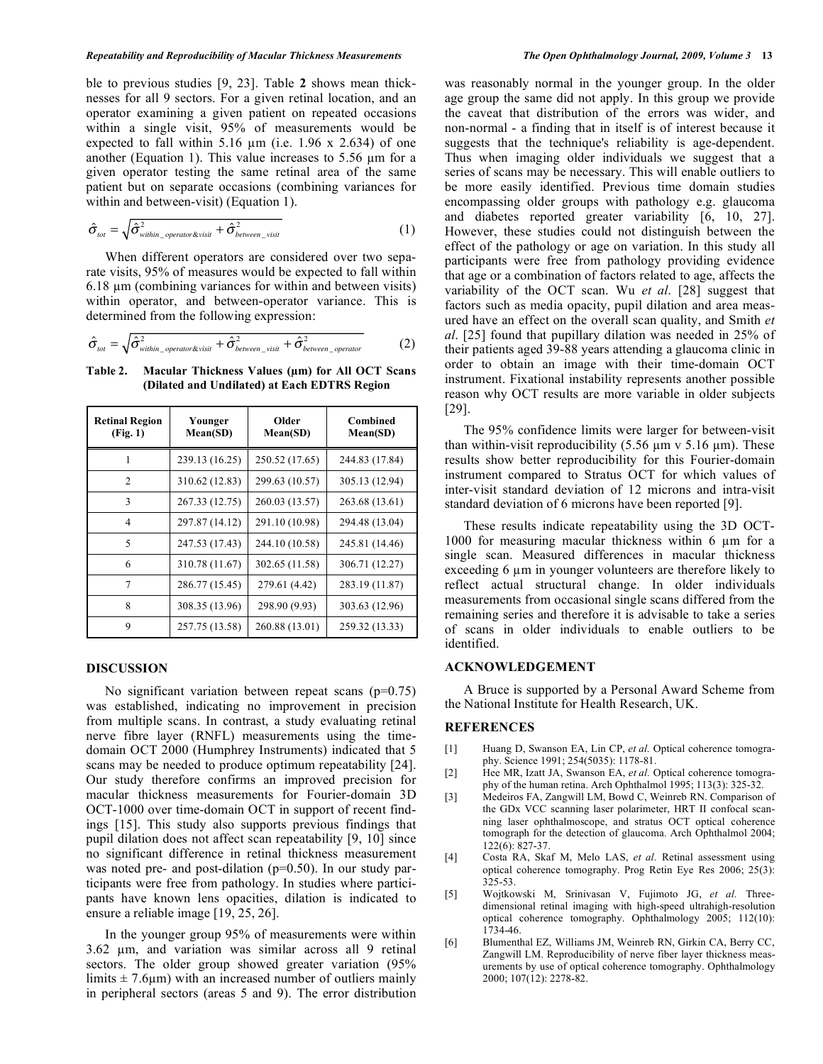ble to previous studies [9, 23]. Table **2** shows mean thicknesses for all 9 sectors. For a given retinal location, and an operator examining a given patient on repeated occasions within a single visit, 95% of measurements would be expected to fall within 5.16  $\mu$ m (i.e. 1.96 x 2.634) of one another (Equation 1). This value increases to  $5.56 \mu m$  for a given operator testing the same retinal area of the same patient but on separate occasions (combining variances for within and between-visit) (Equation 1).

$$
\hat{\sigma}_{\text{tot}} = \sqrt{\hat{\sigma}_{\text{within\_operator\&visit}}^2 + \hat{\sigma}_{\text{between\_visit}}^2}
$$
 (1)

 When different operators are considered over two separate visits, 95% of measures would be expected to fall within  $6.18 \mu m$  (combining variances for within and between visits) within operator, and between-operator variance. This is determined from the following expression:

$$
\hat{\sigma}_{\text{tot}} = \sqrt{\hat{\sigma}_{\text{within\_operator\&visit}}^2 + \hat{\sigma}_{\text{between\_visit}}^2 + \hat{\sigma}_{\text{between\_operator}}^2}
$$
(2)

**Table 2. Macular Thickness Values (m) for All OCT Scans (Dilated and Undilated) at Each EDTRS Region** 

| <b>Retinal Region</b><br>(Fig. 1) | Younger<br>Mean(SD) | Older<br>Mean(SD) | Combined<br>Mean(SD) |  |
|-----------------------------------|---------------------|-------------------|----------------------|--|
|                                   | 239.13 (16.25)      | 250.52 (17.65)    | 244.83 (17.84)       |  |
| $\mathfrak{D}$                    | 310.62 (12.83)      | 299.63 (10.57)    | 305.13 (12.94)       |  |
| 3                                 | 267.33 (12.75)      | 260.03 (13.57)    | 263.68 (13.61)       |  |
| $\overline{4}$                    | 297.87 (14.12)      | 291.10 (10.98)    | 294.48 (13.04)       |  |
| $\overline{\phantom{0}}$          | 247.53 (17.43)      | 244.10 (10.58)    | 245.81 (14.46)       |  |
| 6                                 | 310.78 (11.67)      | 302.65 (11.58)    | 306.71 (12.27)       |  |
| 7                                 | 286.77 (15.45)      | 279.61 (4.42)     | 283.19 (11.87)       |  |
| $\mathbf{8}$                      | 308.35 (13.96)      | 298.90 (9.93)     | 303.63 (12.96)       |  |
| 9                                 | 257.75 (13.58)      | 260.88 (13.01)    | 259.32 (13.33)       |  |

### **DISCUSSION**

No significant variation between repeat scans  $(p=0.75)$ was established, indicating no improvement in precision from multiple scans. In contrast, a study evaluating retinal nerve fibre layer (RNFL) measurements using the timedomain OCT 2000 (Humphrey Instruments) indicated that 5 scans may be needed to produce optimum repeatability [24]. Our study therefore confirms an improved precision for macular thickness measurements for Fourier-domain 3D OCT-1000 over time-domain OCT in support of recent findings [15]. This study also supports previous findings that pupil dilation does not affect scan repeatability [9, 10] since no significant difference in retinal thickness measurement was noted pre- and post-dilation  $(p=0.50)$ . In our study participants were free from pathology. In studies where participants have known lens opacities, dilation is indicated to ensure a reliable image [19, 25, 26].

 In the younger group 95% of measurements were within 3.62 µm, and variation was similar across all 9 retinal sectors. The older group showed greater variation (95% limits  $\pm$  7.6um) with an increased number of outliers mainly in peripheral sectors (areas 5 and 9). The error distribution was reasonably normal in the younger group. In the older age group the same did not apply. In this group we provide the caveat that distribution of the errors was wider, and non-normal - a finding that in itself is of interest because it suggests that the technique's reliability is age-dependent. Thus when imaging older individuals we suggest that a series of scans may be necessary. This will enable outliers to be more easily identified. Previous time domain studies encompassing older groups with pathology e.g. glaucoma and diabetes reported greater variability [6, 10, 27]. However, these studies could not distinguish between the effect of the pathology or age on variation. In this study all participants were free from pathology providing evidence that age or a combination of factors related to age, affects the variability of the OCT scan. Wu *et al*. [28] suggest that factors such as media opacity, pupil dilation and area measured have an effect on the overall scan quality, and Smith *et al*. [25] found that pupillary dilation was needed in 25% of their patients aged 39-88 years attending a glaucoma clinic in order to obtain an image with their time-domain OCT instrument. Fixational instability represents another possible reason why OCT results are more variable in older subjects [29].

 The 95% confidence limits were larger for between-visit than within-visit reproducibility  $(5.56 \mu m) \times 5.16 \mu m)$ . These results show better reproducibility for this Fourier-domain instrument compared to Stratus OCT for which values of inter-visit standard deviation of 12 microns and intra-visit standard deviation of 6 microns have been reported [9].

 These results indicate repeatability using the 3D OCT-1000 for measuring macular thickness within  $6 \mu m$  for a single scan. Measured differences in macular thickness exceeding  $6 \mu m$  in younger volunteers are therefore likely to reflect actual structural change. In older individuals measurements from occasional single scans differed from the remaining series and therefore it is advisable to take a series of scans in older individuals to enable outliers to be identified.

## **ACKNOWLEDGEMENT**

 A Bruce is supported by a Personal Award Scheme from the National Institute for Health Research, UK.

## **REFERENCES**

- [1] Huang D, Swanson EA, Lin CP, *et al.* Optical coherence tomography. Science 1991; 254(5035): 1178-81.
- [2] Hee MR, Izatt JA, Swanson EA, *et al.* Optical coherence tomography of the human retina. Arch Ophthalmol 1995; 113(3): 325-32.
- [3] Medeiros FA, Zangwill LM, Bowd C, Weinreb RN. Comparison of the GDx VCC scanning laser polarimeter, HRT II confocal scanning laser ophthalmoscope, and stratus OCT optical coherence tomograph for the detection of glaucoma. Arch Ophthalmol 2004; 122(6): 827-37.
- [4] Costa RA, Skaf M, Melo LAS, *et al.* Retinal assessment using optical coherence tomography. Prog Retin Eye Res 2006; 25(3): 325-53.
- [5] Wojtkowski M, Srinivasan V, Fujimoto JG, *et al.* Threedimensional retinal imaging with high-speed ultrahigh-resolution optical coherence tomography. Ophthalmology 2005; 112(10): 1734-46.
- [6] Blumenthal EZ, Williams JM, Weinreb RN, Girkin CA, Berry CC, Zangwill LM. Reproducibility of nerve fiber layer thickness measurements by use of optical coherence tomography. Ophthalmology 2000; 107(12): 2278-82.